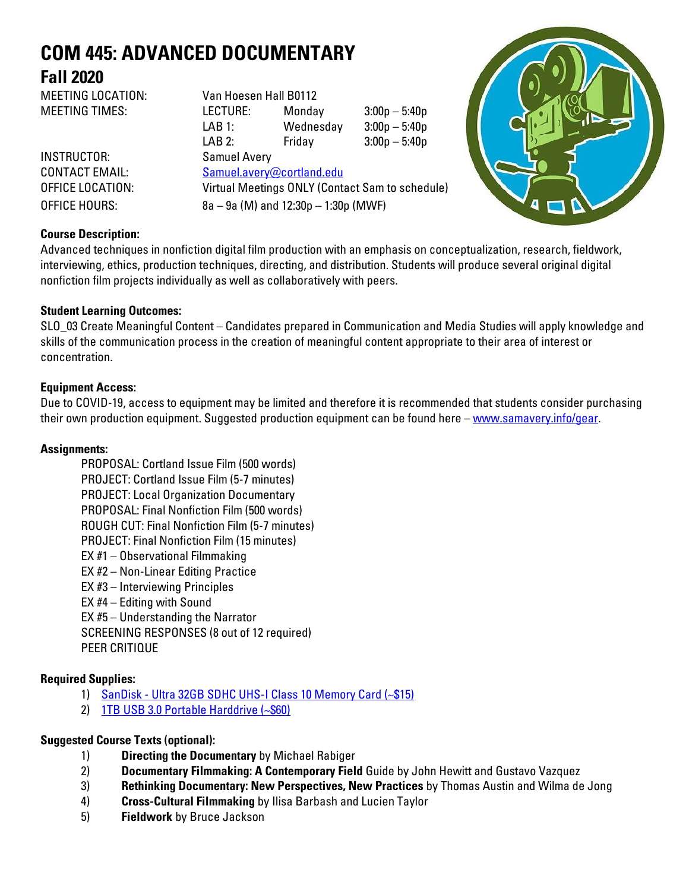# **COM 445: ADVANCED DOCUMENTARY Fall 2020**

MEETING LOCATION: Van Hoesen Hall B0112 MEETING TIMES: LECTURE: Monday 3:00p – 5:40p LAB 1: Wednesday 3:00p – 5:40p LAB 2: Friday 3:00p – 5:40p INSTRUCTOR: Samuel Avery CONTACT EMAIL: Samuel.avery@cortland.edu OFFICE LOCATION: Virtual Meetings ONLY (Contact Sam to schedule) OFFICE HOURS: 8a – 9a (M) and 12:30p – 1:30p (MWF)



# **Course Description:**

Advanced techniques in nonfiction digital film production with an emphasis on conceptualization, research, fieldwork, interviewing, ethics, production techniques, directing, and distribution. Students will produce several original digital nonfiction film projects individually as well as collaboratively with peers.

# **Student Learning Outcomes:**

SLO\_03 Create Meaningful Content – Candidates prepared in Communication and Media Studies will apply knowledge and skills of the communication process in the creation of meaningful content appropriate to their area of interest or concentration.

# **Equipment Access:**

Due to COVID-19, access to equipment may be limited and therefore it is recommended that students consider purchasing their own production equipment. Suggested production equipment can be found here – [www.samavery.info/gear.](http://www.samavery.info/gear)

#### **Assignments:**

PROPOSAL: Cortland Issue Film (500 words) PROJECT: Cortland Issue Film (5-7 minutes) PROJECT: Local Organization Documentary PROPOSAL: Final Nonfiction Film (500 words) ROUGH CUT: Final Nonfiction Film (5-7 minutes) PROJECT: Final Nonfiction Film (15 minutes) EX #1 – Observational Filmmaking EX #2 – Non-Linear Editing Practice EX #3 – Interviewing Principles EX #4 – Editing with Sound EX #5 – Understanding the Narrator SCREENING RESPONSES (8 out of 12 required) PEER CRITIQUE

# **Required Supplies:**

- 1) SanDisk [Ultra 32GB SDHC UHS-I Class 10 Memory Card](https://www.amazon.com/SanDisk-Ultra-Class-Memory-SDSDUNC-032G-GN6IN/dp/B0143RT8OY/ref=sr_1_1?s=pc&ie=UTF8&qid=1484065742&sr=1-1&keywords=SanDisk+-+Ultra+32GB+SDHC+UHS-I+Class+10+Memory+Card) (~\$15)
- 2) [1TB USB 3.0 Portable Harddrive \(~\\$60\)](https://www.amazon.com/Black-Passport-Portable-External-Drive/dp/B01LQQHI8I/ref=sr_1_1?s=pc&ie=UTF8&qid=1484065718&sr=1-1-spons&keywords=1tb+hard+drive&psc=1)

# **Suggested Course Texts (optional):**

- 1) **Directing the Documentary** by Michael Rabiger
- 2) **Documentary Filmmaking: A Contemporary Field** Guide by John Hewitt and Gustavo Vazquez
- 3) **Rethinking Documentary: New Perspectives, New Practices** by Thomas Austin and Wilma de Jong
- 4) **Cross-Cultural Filmmaking** by Ilisa Barbash and Lucien Taylor
- 5) **Fieldwork** by Bruce Jackson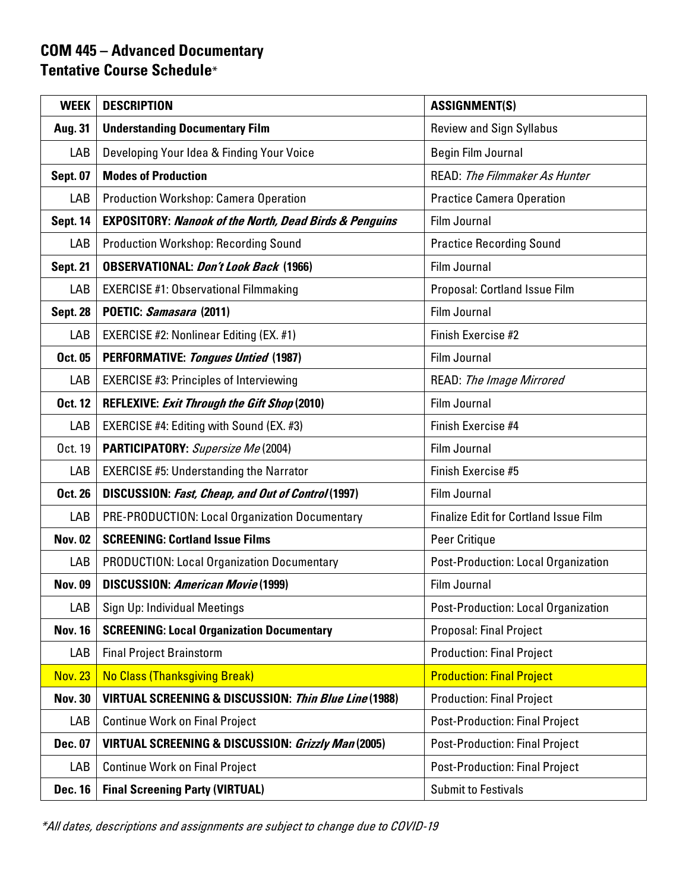# **COM 445 – Advanced Documentary Tentative Course Schedule**\*

| <b>WEEK</b>     | <b>DESCRIPTION</b>                                                | <b>ASSIGNMENT(S)</b>                         |  |
|-----------------|-------------------------------------------------------------------|----------------------------------------------|--|
| Aug. 31         | <b>Understanding Documentary Film</b>                             | <b>Review and Sign Syllabus</b>              |  |
| LAB             | Developing Your Idea & Finding Your Voice                         | Begin Film Journal                           |  |
| <b>Sept. 07</b> | <b>Modes of Production</b>                                        | <b>READ:</b> The Filmmaker As Hunter         |  |
| LAB             | <b>Production Workshop: Camera Operation</b>                      | <b>Practice Camera Operation</b>             |  |
| <b>Sept. 14</b> | <b>EXPOSITORY: Nanook of the North, Dead Birds &amp; Penguins</b> | Film Journal                                 |  |
| LAB             | <b>Production Workshop: Recording Sound</b>                       | <b>Practice Recording Sound</b>              |  |
| <b>Sept. 21</b> | <b>OBSERVATIONAL: Don't Look Back (1966)</b>                      | Film Journal                                 |  |
| LAB             | <b>EXERCISE #1: Observational Filmmaking</b>                      | Proposal: Cortland Issue Film                |  |
| <b>Sept. 28</b> | POETIC: Samasara (2011)                                           | Film Journal                                 |  |
| LAB             | <b>EXERCISE #2: Nonlinear Editing (EX. #1)</b>                    | Finish Exercise #2                           |  |
| Oct. 05         | <b>PERFORMATIVE:</b> Tongues Untied (1987)                        | Film Journal                                 |  |
| LAB             | <b>EXERCISE #3: Principles of Interviewing</b>                    | READ: The Image Mirrored                     |  |
| <b>Oct. 12</b>  | <b>REFLEXIVE: Exit Through the Gift Shop (2010)</b>               | Film Journal                                 |  |
| LAB             | EXERCISE #4: Editing with Sound (EX. #3)                          | Finish Exercise #4                           |  |
| Oct. 19         | PARTICIPATORY: Supersize Me (2004)                                | Film Journal                                 |  |
| LAB             | <b>EXERCISE #5: Understanding the Narrator</b>                    | Finish Exercise #5                           |  |
| <b>Oct. 26</b>  | <b>DISCUSSION: Fast, Cheap, and Out of Control (1997)</b>         | Film Journal                                 |  |
| LAB             | PRE-PRODUCTION: Local Organization Documentary                    | <b>Finalize Edit for Cortland Issue Film</b> |  |
| <b>Nov. 02</b>  | <b>SCREENING: Cortland Issue Films</b>                            | Peer Critique                                |  |
| LAB             | <b>PRODUCTION: Local Organization Documentary</b>                 | Post-Production: Local Organization          |  |
| <b>Nov. 09</b>  | <b>DISCUSSION: American Movie (1999)</b>                          | Film Journal                                 |  |
| LAB             | Sign Up: Individual Meetings                                      | Post-Production: Local Organization          |  |
| <b>Nov. 16</b>  | <b>SCREENING: Local Organization Documentary</b>                  | <b>Proposal: Final Project</b>               |  |
| LAB             | <b>Final Project Brainstorm</b>                                   | <b>Production: Final Project</b>             |  |
| <b>Nov. 23</b>  | No Class (Thanksgiving Break)                                     | <b>Production: Final Project</b>             |  |
| <b>Nov. 30</b>  | VIRTUAL SCREENING & DISCUSSION: Thin Blue Line (1988)             | <b>Production: Final Project</b>             |  |
| LAB             | <b>Continue Work on Final Project</b>                             | <b>Post-Production: Final Project</b>        |  |
| Dec. 07         | <b>VIRTUAL SCREENING &amp; DISCUSSION: Grizzly Man (2005)</b>     | <b>Post-Production: Final Project</b>        |  |
| LAB             | <b>Continue Work on Final Project</b>                             | <b>Post-Production: Final Project</b>        |  |
| <b>Dec. 16</b>  | <b>Final Screening Party (VIRTUAL)</b>                            | <b>Submit to Festivals</b>                   |  |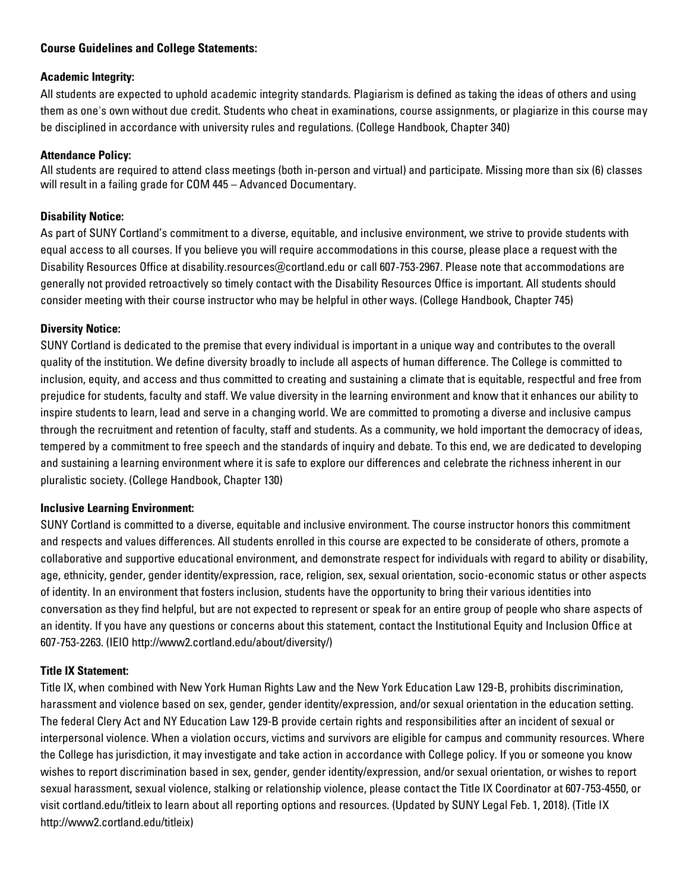# **Course Guidelines and College Statements:**

#### **Academic Integrity:**

All students are expected to uphold academic integrity standards. Plagiarism is defined as taking the ideas of others and using them as one's own without due credit. Students who cheat in examinations, course assignments, or plagiarize in this course may be disciplined in accordance with university rules and regulations. (College Handbook, Chapter 340)

#### **Attendance Policy:**

All students are required to attend class meetings (both in-person and virtual) and participate. Missing more than six (6) classes will result in a failing grade for COM 445 – Advanced Documentary.

# **Disability Notice:**

As part of SUNY Cortland's commitment to a diverse, equitable, and inclusive environment, we strive to provide students with equal access to all courses. If you believe you will require accommodations in this course, please place a request with the Disability Resources Office at disability.resources@cortland.edu or call 607-753-2967. Please note that accommodations are generally not provided retroactively so timely contact with the Disability Resources Office is important. All students should consider meeting with their course instructor who may be helpful in other ways. (College Handbook, Chapter 745)

#### **Diversity Notice:**

SUNY Cortland is dedicated to the premise that every individual is important in a unique way and contributes to the overall quality of the institution. We define diversity broadly to include all aspects of human difference. The College is committed to inclusion, equity, and access and thus committed to creating and sustaining a climate that is equitable, respectful and free from prejudice for students, faculty and staff. We value diversity in the learning environment and know that it enhances our ability to inspire students to learn, lead and serve in a changing world. We are committed to promoting a diverse and inclusive campus through the recruitment and retention of faculty, staff and students. As a community, we hold important the democracy of ideas, tempered by a commitment to free speech and the standards of inquiry and debate. To this end, we are dedicated to developing and sustaining a learning environment where it is safe to explore our differences and celebrate the richness inherent in our pluralistic society. (College Handbook, Chapter 130)

#### **Inclusive Learning Environment:**

SUNY Cortland is committed to a diverse, equitable and inclusive environment. The course instructor honors this commitment and respects and values differences. All students enrolled in this course are expected to be considerate of others, promote a collaborative and supportive educational environment, and demonstrate respect for individuals with regard to ability or disability, age, ethnicity, gender, gender identity/expression, race, religion, sex, sexual orientation, socio-economic status or other aspects of identity. In an environment that fosters inclusion, students have the opportunity to bring their various identities into conversation as they find helpful, but are not expected to represent or speak for an entire group of people who share aspects of an identity. If you have any questions or concerns about this statement, contact the Institutional Equity and Inclusion Office at 607-753-2263. (IEIO http://www2.cortland.edu/about/diversity/)

#### **Title IX Statement:**

Title IX, when combined with New York Human Rights Law and the New York Education Law 129-B, prohibits discrimination, harassment and violence based on sex, gender, gender identity/expression, and/or sexual orientation in the education setting. The federal Clery Act and NY Education Law 129-B provide certain rights and responsibilities after an incident of sexual or interpersonal violence. When a violation occurs, victims and survivors are eligible for campus and community resources. Where the College has jurisdiction, it may investigate and take action in accordance with College policy. If you or someone you know wishes to report discrimination based in sex, gender, gender identity/expression, and/or sexual orientation, or wishes to report sexual harassment, sexual violence, stalking or relationship violence, please contact the Title IX Coordinator at 607-753-4550, or visit cortland.edu/titleix to learn about all reporting options and resources. (Updated by SUNY Legal Feb. 1, 2018). (Title IX http://www2.cortland.edu/titleix)